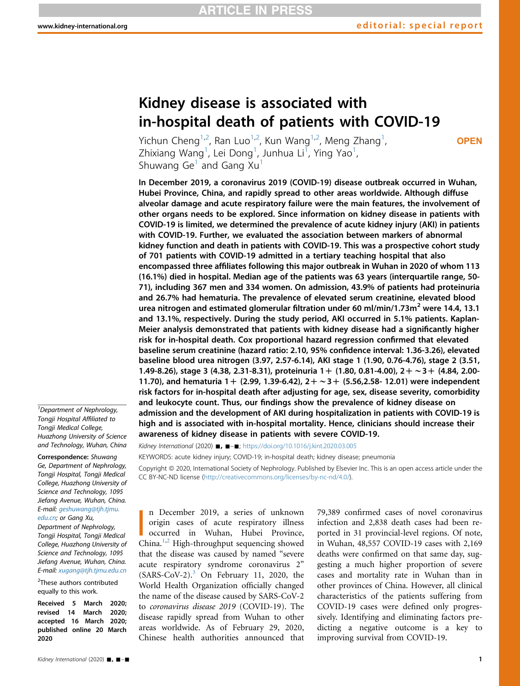# Kidney disease is associated with in-hospital death of patients with COVID-19

Yichun Cheng<sup>1,[2](#page-0-0)</sup>, Ran Luo<sup>1[,2](#page-0-0)</sup>, Kun Wang<sup>1,2</sup>, Meng Zhang<sup>1</sup> , Zhixiang Wang<sup>1</sup>, Lei Dong<sup>1</sup>, Junhua Li<sup>T</sup>, Ying Yao<sup>1</sup> , Shuwang Ge<sup>1</sup> and Gang  $Xu<sup>1</sup>$ 

**OPEN** 

In December 2019, a coronavirus 2019 (COVID-19) disease outbreak occurred in Wuhan, Hubei Province, China, and rapidly spread to other areas worldwide. Although diffuse alveolar damage and acute respiratory failure were the main features, the involvement of other organs needs to be explored. Since information on kidney disease in patients with COVID-19 is limited, we determined the prevalence of acute kidney injury (AKI) in patients with COVID-19. Further, we evaluated the association between markers of abnormal kidney function and death in patients with COVID-19. This was a prospective cohort study of 701 patients with COVID-19 admitted in a tertiary teaching hospital that also encompassed three affiliates following this major outbreak in Wuhan in 2020 of whom 113 (16.1%) died in hospital. Median age of the patients was 63 years (interquartile range, 50- 71), including 367 men and 334 women. On admission, 43.9% of patients had proteinuria and 26.7% had hematuria. The prevalence of elevated serum creatinine, elevated blood urea nitrogen and estimated glomerular filtration under 60 ml/min/1.73m<sup>2</sup> were 14.4, 13.1 and 13.1%, respectively. During the study period, AKI occurred in 5.1% patients. Kaplan-Meier analysis demonstrated that patients with kidney disease had a significantly higher risk for in-hospital death. Cox proportional hazard regression confirmed that elevated baseline serum creatinine (hazard ratio: 2.10, 95% confidence interval: 1.36-3.26), elevated baseline blood urea nitrogen (3.97, 2.57-6.14), AKI stage 1 (1.90, 0.76-4.76), stage 2 (3.51, 1.49-8.26), stage 3 (4.38, 2.31-8.31), proteinuria  $1+$  (1.80, 0.81-4.00),  $2+\sim$  3 + (4.84, 2.00-11.70), and hematuria 1 + (2.99, 1.39-6.42),  $2+\sim$ 3 + (5.56,2.58- 12.01) were independent risk factors for in-hospital death after adjusting for age, sex, disease severity, comorbidity and leukocyte count. Thus, our findings show the prevalence of kidney disease on admission and the development of AKI during hospitalization in patients with COVID-19 is high and is associated with in-hospital mortality. Hence, clinicians should increase their awareness of kidney disease in patients with severe COVID-19.

Kidney International (2020)  $\blacksquare$ ,  $\blacksquare - \blacksquare$ ; <https://doi.org/10.1016/j.kint.2020.03.005>

KEYWORDS: acute kidney injury; COVID-19; in-hospital death; kidney disease; pneumonia

Copyright @ 2020, International Society of Nephrology. Published by Elsevier Inc. This is an open access article under the CC BY-NC-ND license (<http://creativecommons.org/licenses/by-nc-nd/4.0/>).

In December 20[1](#page-8-0)9, a series of unknown<br>
origin cases of acute respiratory illness<br>
occurred in Wuhan, Hubei Province,<br>
China.<sup>1[,2](#page-8-1)</sup> High-throughput sequencing showed n December 2019, a series of unknown origin cases of acute respiratory illness occurred in Wuhan, Hubei Province, that the disease was caused by named "severe acute respiratory syndrome coronavirus 2"  $(SARS-CoV-2).$ <sup>[3](#page-8-2)</sup> On February 11, 2020, the World Health Organization officially changed the name of the disease caused by SARS-CoV-2 to coronavirus disease 2019 (COVID-19). The disease rapidly spread from Wuhan to other areas worldwide. As of February 29, 2020, Chinese health authorities announced that 79,389 confirmed cases of novel coronavirus infection and 2,838 death cases had been reported in 31 provincial-level regions. Of note, in Wuhan, 48,557 COVID-19 cases with 2,169 deaths were confirmed on that same day, suggesting a much higher proportion of severe cases and mortality rate in Wuhan than in other provinces of China. However, all clinical characteristics of the patients suffering from COVID-19 cases were defined only progressively. Identifying and eliminating factors predicting a negative outcome is a key to improving survival from COVID-19.

<sup>1</sup> Department of Nephrology, Tongji Hospital Affiliated to Tongji Medical College, Huazhong University of Science and Technology, Wuhan, China

Correspondence: Shuwang Ge, Department of Nephrology, Tongji Hospital, Tongji Medical College, Huazhong University of Science and Technology, 1095 Jiefang Avenue, Wuhan, China. E-mail: [geshuwang@tjh.tjmu.](mailto:geshuwang@tjh.tjmu.edu.cn) [edu.cn;](mailto:geshuwang@tjh.tjmu.edu.cn) or Gang Xu, Department of Nephrology, Tongji Hospital, Tongji Medical College, Huazhong University of Science and Technology, 1095 Jiefang Avenue, Wuhan, China. E-mail: [xugang@tjh.tjmu.edu.cn](mailto:xugang@tjh.tjmu.edu.cn)

<span id="page-0-0"></span><sup>2</sup>These authors contributed equally to this work.

Received 5 March 2020; revised 14 March 2020; accepted 16 March 2020; published online 20 March 2020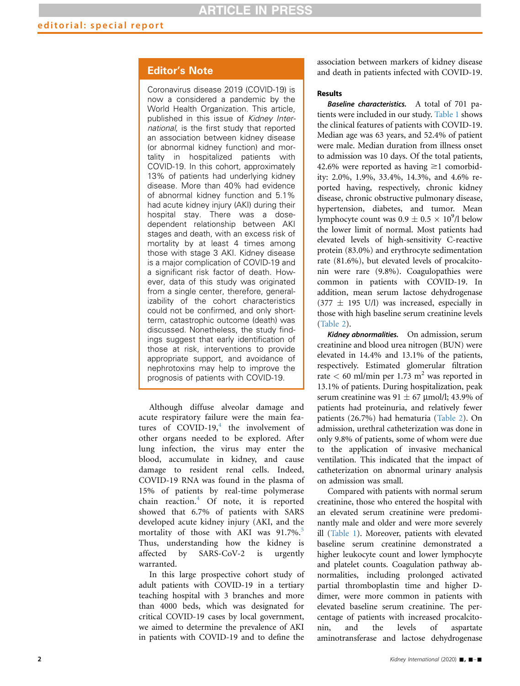# Editor's Note

Coronavirus disease 2019 (COVID-19) is now a considered a pandemic by the World Health Organization. This article, published in this issue of Kidney International, is the first study that reported an association between kidney disease (or abnormal kidney function) and mortality in hospitalized patients with COVID-19. In this cohort, approximately 13% of patients had underlying kidney disease. More than 40% had evidence of abnormal kidney function and 5.1% had acute kidney injury (AKI) during their hospital stay. There was a dosedependent relationship between AKI stages and death, with an excess risk of mortality by at least 4 times among those with stage 3 AKI. Kidney disease is a major complication of COVID-19 and a significant risk factor of death. However, data of this study was originated from a single center, therefore, generalizability of the cohort characteristics could not be confirmed, and only shortterm, catastrophic outcome (death) was discussed. Nonetheless, the study findings suggest that early identification of those at risk, interventions to provide appropriate support, and avoidance of nephrotoxins may help to improve the prognosis of patients with COVID-19.

Although diffuse alveolar damage and acute respiratory failure were the main features of COVID-19, $4$  the involvement of other organs needed to be explored. After lung infection, the virus may enter the blood, accumulate in kidney, and cause damage to resident renal cells. Indeed, COVID-19 RNA was found in the plasma of 15% of patients by real-time polymerase chain reaction.<sup>[4](#page-8-3)</sup> Of note, it is reported showed that 6.7% of patients with SARS developed acute kidney injury (AKI, and the mortality of those with AKI was  $91.7\%$ .<sup>[5](#page-8-4)</sup> Thus, understanding how the kidney is affected by SARS-CoV-2 is urgently warranted.

In this large prospective cohort study of adult patients with COVID-19 in a tertiary teaching hospital with 3 branches and more than 4000 beds, which was designated for critical COVID-19 cases by local government, we aimed to determine the prevalence of AKI in patients with COVID-19 and to define the association between markers of kidney disease and death in patients infected with COVID-19.

### **Results**

Baseline characteristics. A total of 701 patients were included in our study. [Table 1](#page-2-0) shows the clinical features of patients with COVID-19. Median age was 63 years, and 52.4% of patient were male. Median duration from illness onset to admission was 10 days. Of the total patients, 42.6% were reported as having  $\geq$ 1 comorbidity: 2.0%, 1.9%, 33.4%, 14.3%, and 4.6% reported having, respectively, chronic kidney disease, chronic obstructive pulmonary disease, hypertension, diabetes, and tumor. Mean lymphocyte count was  $0.9 \pm 0.5 \times 10^9$ /l below the lower limit of normal. Most patients had elevated levels of high-sensitivity C-reactive protein (83.0%) and erythrocyte sedimentation rate (81.6%), but elevated levels of procalcitonin were rare (9.8%). Coagulopathies were common in patients with COVID-19. In addition, mean serum lactose dehydrogenase  $(377 \pm 195 \text{ U/l})$  was increased, especially in those with high baseline serum creatinine levels ([Table 2](#page-3-0)).

Kidney abnormalities. On admission, serum creatinine and blood urea nitrogen (BUN) were elevated in 14.4% and 13.1% of the patients, respectively. Estimated glomerular filtration rate  $< 60$  ml/min per 1.73 m<sup>2</sup> was reported in 13.1% of patients. During hospitalization, peak serum creatinine was  $91 \pm 67$  µmol/l; 43.9% of patients had proteinuria, and relatively fewer patients (26.7%) had hematuria [\(Table 2\)](#page-3-0). On admission, urethral catheterization was done in only 9.8% of patients, some of whom were due to the application of invasive mechanical ventilation. This indicated that the impact of catheterization on abnormal urinary analysis on admission was small.

Compared with patients with normal serum creatinine, those who entered the hospital with an elevated serum creatinine were predominantly male and older and were more severely ill ([Table 1\)](#page-2-0). Moreover, patients with elevated baseline serum creatinine demonstrated a higher leukocyte count and lower lymphocyte and platelet counts. Coagulation pathway abnormalities, including prolonged activated partial thromboplastin time and higher Ddimer, were more common in patients with elevated baseline serum creatinine. The percentage of patients with increased procalcitonin, and the levels of aspartate aminotransferase and lactose dehydrogenase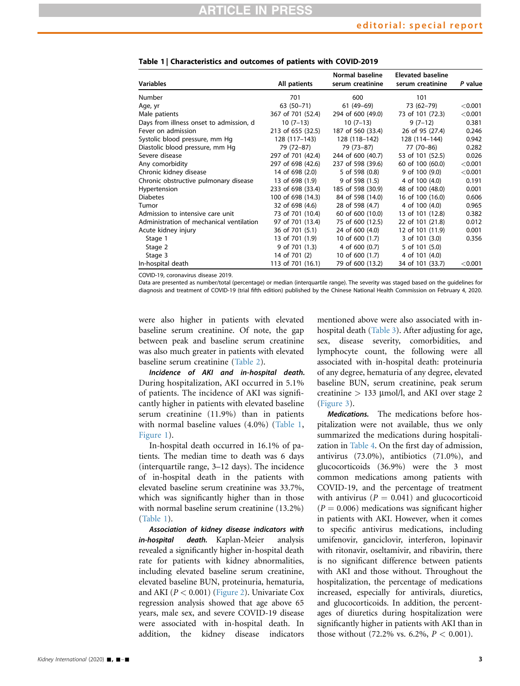| <b>Variables</b>                         | All patients      | Normal baseline<br>serum creatinine | <b>Elevated baseline</b><br>serum creatinine | P value   |
|------------------------------------------|-------------------|-------------------------------------|----------------------------------------------|-----------|
| Number                                   | 701               | 600                                 | 101                                          |           |
| Age, yr                                  | 63 (50-71)        | 61 (49-69)                          | 73 (62-79)                                   | < 0.001   |
| Male patients                            | 367 of 701 (52.4) | 294 of 600 (49.0)                   | 73 of 101 (72.3)                             | < 0.001   |
| Days from illness onset to admission, d  | $10(7-13)$        | $10(7-13)$                          | $9(7-12)$                                    | 0.381     |
| Fever on admission                       | 213 of 655 (32.5) | 187 of 560 (33.4)                   | 26 of 95 (27.4)                              | 0.246     |
| Systolic blood pressure, mm Hq           | 128 (117-143)     | 128 (118-142)                       | 128 (114-144)                                | 0.942     |
| Diastolic blood pressure, mm Hg          | 79 (72-87)        | 79 (73-87)                          | 77 (70-86)                                   | 0.282     |
| Severe disease                           | 297 of 701 (42.4) | 244 of 600 (40.7)                   | 53 of 101 (52.5)                             | 0.026     |
| Any comorbidity                          | 297 of 698 (42.6) | 237 of 598 (39.6)                   | 60 of 100 (60.0)                             | < 0.001   |
| Chronic kidney disease                   | 14 of 698 (2.0)   | 5 of 598 (0.8)                      | 9 of 100 (9.0)                               | < 0.001   |
| Chronic obstructive pulmonary disease    | 13 of 698 (1.9)   | 9 of 598 (1.5)                      | 4 of 100 (4.0)                               | 0.191     |
| Hypertension                             | 233 of 698 (33.4) | 185 of 598 (30.9)                   | 48 of 100 (48.0)                             | 0.001     |
| <b>Diabetes</b>                          | 100 of 698 (14.3) | 84 of 598 (14.0)                    | 16 of 100 (16.0)                             | 0.606     |
| Tumor                                    | 32 of 698 (4.6)   | 28 of 598 (4.7)                     | 4 of 100 (4.0)                               | 0.965     |
| Admission to intensive care unit         | 73 of 701 (10.4)  | 60 of 600 (10.0)                    | 13 of 101 (12.8)                             | 0.382     |
| Administration of mechanical ventilation | 97 of 701 (13.4)  | 75 of 600 (12.5)                    | 22 of 101 (21.8)                             | 0.012     |
| Acute kidney injury                      | 36 of 701 (5.1)   | 24 of 600 (4.0)                     | 12 of 101 (11.9)                             | 0.001     |
| Stage 1                                  | 13 of 701 (1.9)   | 10 of 600 (1.7)                     | 3 of 101 (3.0)                               | 0.356     |
| Stage 2                                  | 9 of 701 (1.3)    | 4 of 600 (0.7)                      | 5 of 101 (5.0)                               |           |
| Stage 3                                  | 14 of 701 (2)     | 10 of 600 (1.7)                     | 4 of 101 (4.0)                               |           |
| In-hospital death                        | 113 of 701 (16.1) | 79 of 600 (13.2)                    | 34 of 101 (33.7)                             | $<$ 0.001 |

<span id="page-2-0"></span>Table 1 | Characteristics and outcomes of patients with COVID-2019

COVID-19, coronavirus disease 2019.

Data are presented as number/total (percentage) or median (interquartile range). The severity was staged based on the guidelines for diagnosis and treatment of COVID-19 (trial fifth edition) published by the Chinese National Health Commission on February 4, 2020.

were also higher in patients with elevated baseline serum creatinine. Of note, the gap between peak and baseline serum creatinine was also much greater in patients with elevated baseline serum creatinine ([Table 2](#page-3-0)).

Incidence of AKI and in-hospital death. During hospitalization, AKI occurred in 5.1% of patients. The incidence of AKI was significantly higher in patients with elevated baseline serum creatinine (11.9%) than in patients with normal baseline values (4.0%) [\(Table 1,](#page-2-0) [Figure 1](#page-4-0)).

In-hospital death occurred in 16.1% of patients. The median time to death was 6 days (interquartile range, 3–12 days). The incidence of in-hospital death in the patients with elevated baseline serum creatinine was 33.7%, which was significantly higher than in those with normal baseline serum creatinine (13.2%) [\(Table 1\)](#page-2-0).

Association of kidney disease indicators with in-hospital death. Kaplan-Meier analysis revealed a significantly higher in-hospital death rate for patients with kidney abnormalities, including elevated baseline serum creatinine, elevated baseline BUN, proteinuria, hematuria, and AKI ( $P < 0.001$ ) ([Figure 2](#page-5-0)). Univariate Cox regression analysis showed that age above 65 years, male sex, and severe COVID-19 disease were associated with in-hospital death. In addition, the kidney disease indicators mentioned above were also associated with in-hospital death [\(Table 3](#page-6-0)). After adjusting for age, sex, disease severity, comorbidities, and lymphocyte count, the following were all associated with in-hospital death: proteinuria of any degree, hematuria of any degree, elevated baseline BUN, serum creatinine, peak serum creatinine  $> 133$  µmol/l, and AKI over stage 2 ([Figure 3](#page-7-0)).

Medications. The medications before hospitalization were not available, thus we only summarized the medications during hospitalization in [Table 4](#page-7-1). On the first day of admission, antivirus (73.0%), antibiotics (71.0%), and glucocorticoids (36.9%) were the 3 most common medications among patients with COVID-19, and the percentage of treatment with antivirus ( $P = 0.041$ ) and glucocorticoid  $(P = 0.006)$  medications was significant higher in patients with AKI. However, when it comes to specific antivirus medications, including umifenovir, ganciclovir, interferon, lopinavir with ritonavir, oseltamivir, and ribavirin, there is no significant difference between patients with AKI and those without. Throughout the hospitalization, the percentage of medications increased, especially for antivirals, diuretics, and glucocorticoids. In addition, the percentages of diuretics during hospitalization were significantly higher in patients with AKI than in those without  $(72.2\% \text{ vs. } 6.2\%, P < 0.001)$ .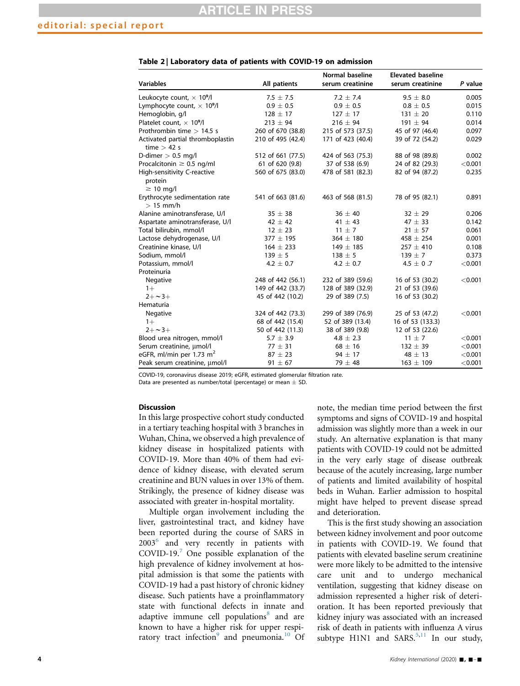| <b>Variables</b>                                  | All patients      | Normal baseline<br>serum creatinine | <b>Elevated baseline</b><br>serum creatinine | P value |
|---------------------------------------------------|-------------------|-------------------------------------|----------------------------------------------|---------|
| Leukocyte count, $\times$ 10 <sup>9</sup> /l      | $7.5 \pm 7.5$     | $7.2 \pm 7.4$                       | $9.5 \pm 8.0$                                | 0.005   |
| Lymphocyte count, $\times$ 10 <sup>9</sup> /l     | $0.9 \pm 0.5$     | $0.9 \pm 0.5$                       | $0.8 \pm 0.5$                                | 0.015   |
| Hemoglobin, g/l                                   | $128 \pm 17$      | $127 \pm 17$                        | $131 \pm 20$                                 | 0.110   |
| Platelet count. $\times$ 10 <sup>9</sup> /l       | $213 \pm 94$      | $216 \pm 94$                        | $191 \pm 94$                                 | 0.014   |
| Prothrombin time $> 14.5$ s                       | 260 of 670 (38.8) | 215 of 573 (37.5)                   | 45 of 97 (46.4)                              | 0.097   |
| Activated partial thromboplastin<br>time $>$ 42 s | 210 of 495 (42.4) | 171 of 423 (40.4)                   | 39 of 72 (54.2)                              | 0.029   |
| D-dimer $> 0.5$ mg/l                              | 512 of 661 (77.5) | 424 of 563 (75.3)                   | 88 of 98 (89.8)                              | 0.002   |
| Procalcitonin $\geq$ 0.5 ng/ml                    | 61 of 620 (9.8)   | 37 of 538 (6.9)                     | 24 of 82 (29.3)                              | < 0.001 |
| High-sensitivity C-reactive                       | 560 of 675 (83.0) | 478 of 581 (82.3)                   | 82 of 94 (87.2)                              | 0.235   |
| protein<br>$\geq$ 10 mg/l                         |                   |                                     |                                              |         |
| Erythrocyte sedimentation rate<br>$> 15$ mm/h     | 541 of 663 (81.6) | 463 of 568 (81.5)                   | 78 of 95 (82.1)                              | 0.891   |
| Alanine aminotransferase, U/I                     | $35 \pm 38$       | $36 \pm 40$                         | $32 \pm 29$                                  | 0.206   |
| Aspartate aminotransferase, U/I                   | $42 \pm 42$       | 41 $\pm$ 43                         | $47 \pm 33$                                  | 0.142   |
| Total bilirubin, mmol/l                           | $12 \pm 23$       | $11 \pm 7$                          | $21 \pm 57$                                  | 0.061   |
| Lactose dehydrogenase, U/I                        | $377 \pm 195$     | $364 \pm 180$                       | $458 \pm 254$                                | 0.001   |
| Creatinine kinase, U/I                            | $164 \pm 233$     | $149 \pm 185$                       | $257 \pm 410$                                | 0.108   |
| Sodium, mmol/l                                    | $139 \pm 5$       | $138 \pm 5$                         | $139 \pm 7$                                  | 0.373   |
| Potassium, mmol/l                                 | 4.2 $\pm$ 0.7     | $4.2 + 0.7$                         | 4.5 $\pm$ 0.7                                | < 0.001 |
| Proteinuria                                       |                   |                                     |                                              |         |
| Negative                                          | 248 of 442 (56.1) | 232 of 389 (59.6)                   | 16 of 53 (30.2)                              | < 0.001 |
| $1+$                                              | 149 of 442 (33.7) | 128 of 389 (32.9)                   | 21 of 53 (39.6)                              |         |
| $2 + -3 +$                                        | 45 of 442 (10.2)  | 29 of 389 (7.5)                     | 16 of 53 (30.2)                              |         |
| Hematuria                                         |                   |                                     |                                              |         |
| Negative                                          | 324 of 442 (73.3) | 299 of 389 (76.9)                   | 25 of 53 (47.2)                              | < 0.001 |
| $1+$                                              | 68 of 442 (15.4)  | 52 of 389 (13.4)                    | 16 of 53 (133.3)                             |         |
| $2 + -3 +$                                        | 50 of 442 (11.3)  | 38 of 389 (9.8)                     | 12 of 53 (22.6)                              |         |
| Blood urea nitrogen, mmol/l                       | $5.7 \pm 3.9$     | $4.8 \pm 2.3$                       | $11 \pm 7$                                   | < 0.001 |
| Serum creatinine, umol/l                          | $77 \pm 31$       | $68 \pm 16$                         | $132 \pm 39$                                 | < 0.001 |
| eGFR, ml/min per 1.73 $m2$                        | $87 \pm 23$       | $94 \pm 17$                         | $48 \pm 13$                                  | < 0.001 |
| Peak serum creatinine, µmol/l                     | $91 \pm 67$       | 79 $\pm$ 48                         | $163 \pm 109$                                | < 0.001 |

<span id="page-3-0"></span>Table 2 | Laboratory data of patients with COVID-19 on admission

COVID-19, coronavirus disease 2019; eGFR, estimated glomerular filtration rate.

Data are presented as number/total (percentage) or mean  $\pm$  SD.

## **Discussion**

In this large prospective cohort study conducted in a tertiary teaching hospital with 3 branches in Wuhan, China, we observed a high prevalence of kidney disease in hospitalized patients with COVID-19. More than 40% of them had evidence of kidney disease, with elevated serum creatinine and BUN values in over 13% of them. Strikingly, the presence of kidney disease was associated with greater in-hospital mortality.

Multiple organ involvement including the liver, gastrointestinal tract, and kidney have been reported during the course of SARS in 2003[6](#page-8-5) and very recently in patients with COVID-19. $^7$  $^7$  One possible explanation of the high prevalence of kidney involvement at hospital admission is that some the patients with COVID-19 had a past history of chronic kidney disease. Such patients have a proinflammatory state with functional defects in innate and adaptive immune cell populations<sup>[8](#page-8-7)</sup> and are known to have a higher risk for upper respiratory tract infection $9$  and pneumonia.<sup>[10](#page-8-9)</sup> Of note, the median time period between the first symptoms and signs of COVID-19 and hospital admission was slightly more than a week in our study. An alternative explanation is that many patients with COVID-19 could not be admitted in the very early stage of disease outbreak because of the acutely increasing, large number of patients and limited availability of hospital beds in Wuhan. Earlier admission to hospital might have helped to prevent disease spread and deterioration.

This is the first study showing an association between kidney involvement and poor outcome in patients with COVID-19. We found that patients with elevated baseline serum creatinine were more likely to be admitted to the intensive care unit and to undergo mechanical ventilation, suggesting that kidney disease on admission represented a higher risk of deterioration. It has been reported previously that kidney injury was associated with an increased risk of death in patients with influenza A virus subtype  $H1N1$  and SARS.<sup>[5](#page-8-4)[,11](#page-8-10)</sup> In our study,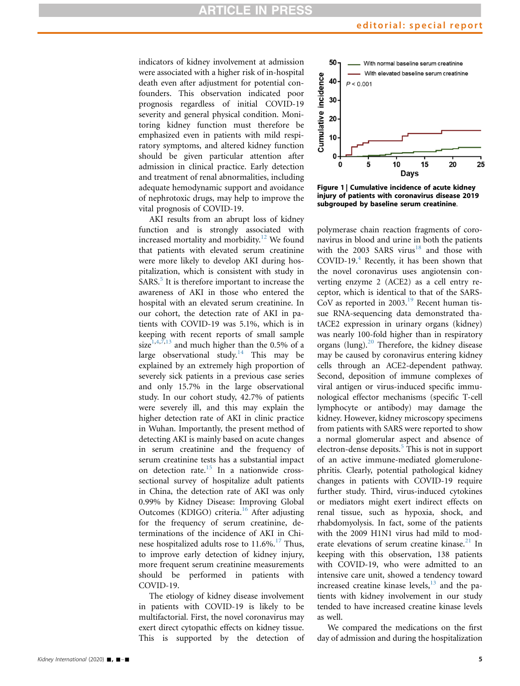indicators of kidney involvement at admission were associated with a higher risk of in-hospital death even after adjustment for potential confounders. This observation indicated poor prognosis regardless of initial COVID-19 severity and general physical condition. Monitoring kidney function must therefore be emphasized even in patients with mild respiratory symptoms, and altered kidney function should be given particular attention after admission in clinical practice. Early detection and treatment of renal abnormalities, including adequate hemodynamic support and avoidance of nephrotoxic drugs, may help to improve the vital prognosis of COVID-19.

AKI results from an abrupt loss of kidney function and is strongly associated with increased mortality and morbidity.<sup>[12](#page-8-11)</sup> We found that patients with elevated serum creatinine were more likely to develop AKI during hospitalization, which is consistent with study in SARS.<sup>[5](#page-8-4)</sup> It is therefore important to increase the awareness of AKI in those who entered the hospital with an elevated serum creatinine. In our cohort, the detection rate of AKI in patients with COVID-19 was 5.1%, which is in keeping with recent reports of small sample size<sup>[1](#page-8-0)[,4,](#page-8-3)[7](#page-8-6),[13](#page-8-12)</sup> and much higher than the 0.5% of a large observational study.<sup>[14](#page-8-13)</sup> This may be explained by an extremely high proportion of severely sick patients in a previous case series and only 15.7% in the large observational study. In our cohort study, 42.7% of patients were severely ill, and this may explain the higher detection rate of AKI in clinic practice in Wuhan. Importantly, the present method of detecting AKI is mainly based on acute changes in serum creatinine and the frequency of serum creatinine tests has a substantial impact on detection rate.<sup>[15](#page-9-0)</sup> In a nationwide crosssectional survey of hospitalize adult patients in China, the detection rate of AKI was only 0.99% by Kidney Disease: Improving Global Outcomes (KDIGO) criteria.<sup>[16](#page-9-1)</sup> After adjusting for the frequency of serum creatinine, determinations of the incidence of AKI in Chinese hospitalized adults rose to  $11.6\%$ .<sup>17</sup> Thus, to improve early detection of kidney injury, more frequent serum creatinine measurements should be performed in patients with COVID-19.

The etiology of kidney disease involvement in patients with COVID-19 is likely to be multifactorial. First, the novel coronavirus may exert direct cytopathic effects on kidney tissue. This is supported by the detection of

<span id="page-4-0"></span>

Figure 1 | Cumulative incidence of acute kidney injury of patients with coronavirus disease 2019 subgrouped by baseline serum creatinine.

polymerase chain reaction fragments of coronavirus in blood and urine in both the patients with the 2003 SARS virus<sup>[18](#page-9-3)</sup> and those with COVID-19. $4$  Recently, it has been shown that the novel coronavirus uses angiotensin converting enzyme 2 (ACE2) as a cell entry receptor, which is identical to that of the SARS-CoV as reported in 2003.<sup>[19](#page-9-4)</sup> Recent human tissue RNA-sequencing data demonstrated thatACE2 expression in urinary organs (kidney) was nearly 100-fold higher than in respiratory organs (lung).<sup>[20](#page-9-5)</sup> Therefore, the kidney disease may be caused by coronavirus entering kidney cells through an ACE2-dependent pathway. Second, deposition of immune complexes of viral antigen or virus-induced specific immunological effector mechanisms (specific T-cell lymphocyte or antibody) may damage the kidney. However, kidney microscopy specimens from patients with SARS were reported to show a normal glomerular aspect and absence of electron-dense deposits. $5$  This is not in support of an active immune-mediated glomerulonephritis. Clearly, potential pathological kidney changes in patients with COVID-19 require further study. Third, virus-induced cytokines or mediators might exert indirect effects on renal tissue, such as hypoxia, shock, and rhabdomyolysis. In fact, some of the patients with the 2009 H1N1 virus had mild to moderate elevations of serum creatine kinase. $^{21}$  $^{21}$  $^{21}$  In keeping with this observation, 138 patients with COVID-19, who were admitted to an intensive care unit, showed a tendency toward increased creatine kinase levels, $^{13}$  $^{13}$  $^{13}$  and the patients with kidney involvement in our study tended to have increased creatine kinase levels as well.

We compared the medications on the first day of admission and during the hospitalization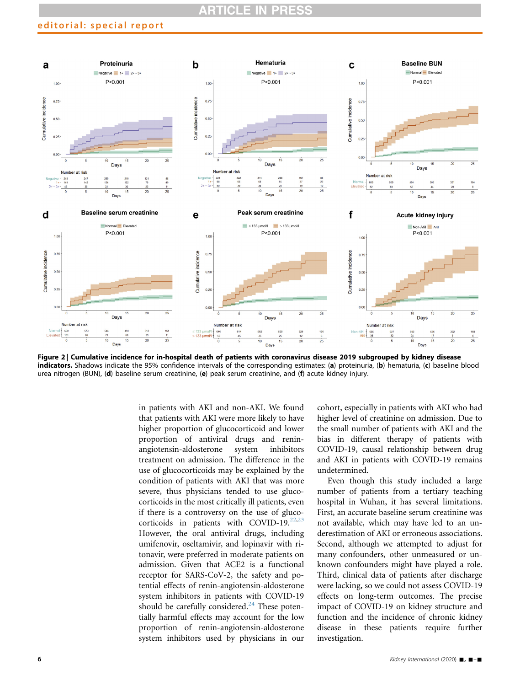# **RTICLE**

# editorial: special report

<span id="page-5-0"></span>

Figure 2 | Cumulative incidence for in-hospital death of patients with coronavirus disease 2019 subgrouped by kidney disease indicators. Shadows indicate the 95% confidence intervals of the corresponding estimates: (a) proteinuria, (b) hematuria, (c) baseline blood urea nitrogen (BUN), (d) baseline serum creatinine, (e) peak serum creatinine, and (f) acute kidney injury.

in patients with AKI and non-AKI. We found that patients with AKI were more likely to have higher proportion of glucocorticoid and lower proportion of antiviral drugs and reninangiotensin-aldosterone system inhibitors treatment on admission. The difference in the use of glucocorticoids may be explained by the condition of patients with AKI that was more severe, thus physicians tended to use glucocorticoids in the most critically ill patients, even if there is a controversy on the use of glucocorticoids in patients with COVID-19. $22,23$  $22,23$ However, the oral antiviral drugs, including umifenovir, oseltamivir, and lopinavir with ritonavir, were preferred in moderate patients on admission. Given that ACE2 is a functional receptor for SARS-CoV-2, the safety and potential effects of renin-angiotensin-aldosterone system inhibitors in patients with COVID-19 should be carefully considered. $^{24}$  $^{24}$  $^{24}$  These potentially harmful effects may account for the low proportion of renin-angiotensin-aldosterone system inhibitors used by physicians in our cohort, especially in patients with AKI who had higher level of creatinine on admission. Due to the small number of patients with AKI and the bias in different therapy of patients with COVID-19, causal relationship between drug and AKI in patients with COVID-19 remains undetermined.

Even though this study included a large number of patients from a tertiary teaching hospital in Wuhan, it has several limitations. First, an accurate baseline serum creatinine was not available, which may have led to an underestimation of AKI or erroneous associations. Second, although we attempted to adjust for many confounders, other unmeasured or unknown confounders might have played a role. Third, clinical data of patients after discharge were lacking, so we could not assess COVID-19 effects on long-term outcomes. The precise impact of COVID-19 on kidney structure and function and the incidence of chronic kidney disease in these patients require further investigation.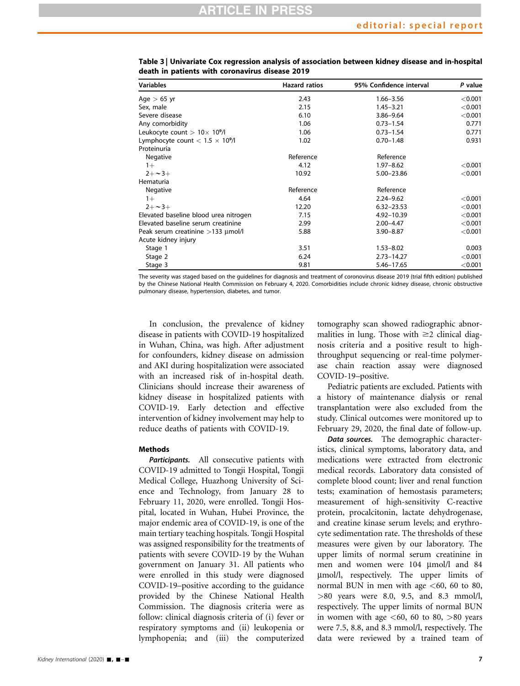| <b>Variables</b>                        | <b>Hazard ratios</b> | 95% Confidence interval | P value |  |
|-----------------------------------------|----------------------|-------------------------|---------|--|
| Age $> 65$ yr                           | 2.43                 | $1.66 - 3.56$           | < 0.001 |  |
| Sex, male                               | 2.15                 | $1.45 - 3.21$           | < 0.001 |  |
| Severe disease                          | 6.10                 | 3.86-9.64               | < 0.001 |  |
| Any comorbidity                         | 1.06                 | $0.73 - 1.54$           | 0.771   |  |
| Leukocyte count $> 10 \times 10^9$ /l   | 1.06                 | $0.73 - 1.54$           | 0.771   |  |
| Lymphocyte count $< 1.5 \times 10^9$ /l | 1.02                 | $0.70 - 1.48$           | 0.931   |  |
| Proteinuria                             |                      |                         |         |  |
| Negative                                | Reference            | Reference               |         |  |
| $1+$                                    | 4.12                 | $1.97 - 8.62$           | < 0.001 |  |
| $2 + -3 +$                              | 10.92                | 5.00-23.86              | < 0.001 |  |
| Hematuria                               |                      |                         |         |  |
| Negative                                | Reference            | Reference               |         |  |
| $1+$                                    | 4.64                 | $2.24 - 9.62$           | < 0.001 |  |
| $2 + -3 +$                              | 12.20                | $6.32 - 23.53$          | < 0.001 |  |
| Elevated baseline blood urea nitrogen   | 7.15                 | 4.92-10.39              | < 0.001 |  |
| Elevated baseline serum creatinine      | 2.99                 | $2.00 - 4.47$           | < 0.001 |  |
| Peak serum creatinine $>133$ µmol/l     | 5.88                 | 3.90-8.87               | < 0.001 |  |
| Acute kidney injury                     |                      |                         |         |  |
| Stage 1                                 | 3.51                 | $1.53 - 8.02$           | 0.003   |  |
| Stage 2                                 | 6.24                 | $2.73 - 14.27$          | < 0.001 |  |
| Stage 3                                 | 9.81                 | 5.46-17.65              | < 0.001 |  |

<span id="page-6-0"></span>Table 3 | Univariate Cox regression analysis of association between kidney disease and in-hospital death in patients with coronavirus disease 2019

The severity was staged based on the guidelines for diagnosis and treatment of coronovirus disease 2019 (trial fifth edition) published by the Chinese National Health Commission on February 4, 2020. Comorbidities include chronic kidney disease, chronic obstructive pulmonary disease, hypertension, diabetes, and tumor.

In conclusion, the prevalence of kidney disease in patients with COVID-19 hospitalized in Wuhan, China, was high. After adjustment for confounders, kidney disease on admission and AKI during hospitalization were associated with an increased risk of in-hospital death. Clinicians should increase their awareness of kidney disease in hospitalized patients with COVID-19. Early detection and effective intervention of kidney involvement may help to reduce deaths of patients with COVID-19.

# Methods

Participants. All consecutive patients with COVID-19 admitted to Tongji Hospital, Tongji Medical College, Huazhong University of Science and Technology, from January 28 to February 11, 2020, were enrolled. Tongji Hospital, located in Wuhan, Hubei Province, the major endemic area of COVID-19, is one of the main tertiary teaching hospitals. Tongji Hospital was assigned responsibility for the treatments of patients with severe COVID-19 by the Wuhan government on January 31. All patients who were enrolled in this study were diagnosed COVID-19–positive according to the guidance provided by the Chinese National Health Commission. The diagnosis criteria were as follow: clinical diagnosis criteria of (i) fever or respiratory symptoms and (ii) leukopenia or lymphopenia; and (iii) the computerized tomography scan showed radiographic abnormalities in lung. Those with  $\geq$  clinical diagnosis criteria and a positive result to highthroughput sequencing or real-time polymerase chain reaction assay were diagnosed COVID-19–positive.

Pediatric patients are excluded. Patients with a history of maintenance dialysis or renal transplantation were also excluded from the study. Clinical outcomes were monitored up to February 29, 2020, the final date of follow-up.

Data sources. The demographic characteristics, clinical symptoms, laboratory data, and medications were extracted from electronic medical records. Laboratory data consisted of complete blood count; liver and renal function tests; examination of hemostasis parameters; measurement of high-sensitivity C-reactive protein, procalcitonin, lactate dehydrogenase, and creatine kinase serum levels; and erythrocyte sedimentation rate. The thresholds of these measures were given by our laboratory. The upper limits of normal serum creatinine in men and women were 104 µmol/l and 84 mmol/l, respectively. The upper limits of normal BUN in men with age  $<60$ , 60 to 80, >80 years were 8.0, 9.5, and 8.3 mmol/l, respectively. The upper limits of normal BUN in women with age  $\lt 60$ , 60 to 80,  $>80$  years were 7.5, 8.8, and 8.3 mmol/l, respectively. The data were reviewed by a trained team of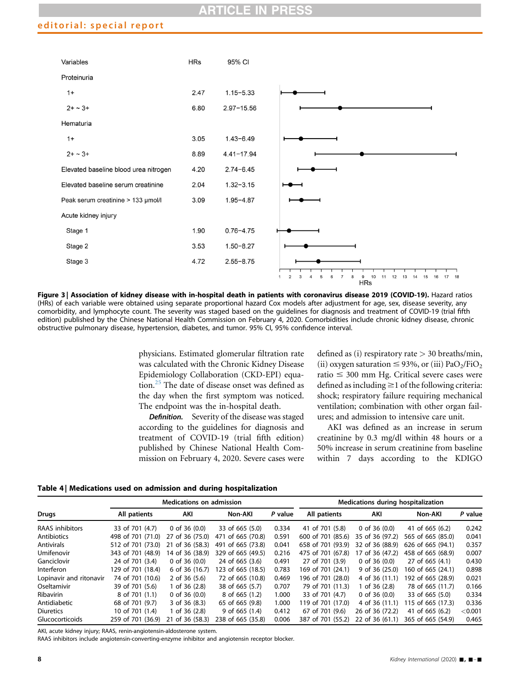# editorial: special report

<span id="page-7-0"></span>

Figure 3 | Association of kidney disease with in-hospital death in patients with coronavirus disease 2019 (COVID-19). Hazard ratios (HRs) of each variable were obtained using separate proportional hazard Cox models after adjustment for age, sex, disease severity, any comorbidity, and lymphocyte count. The severity was staged based on the guidelines for diagnosis and treatment of COVID-19 (trial fifth edition) published by the Chinese National Health Commission on February 4, 2020. Comorbidities include chronic kidney disease, chronic obstructive pulmonary disease, hypertension, diabetes, and tumor. 95% CI, 95% confidence interval.

physicians. Estimated glomerular filtration rate was calculated with the Chronic Kidney Disease Epidemiology Collaboration (CKD-EPI) equa-tion.<sup>[25](#page-9-10)</sup> The date of disease onset was defined as the day when the first symptom was noticed. The endpoint was the in-hospital death.

Definition. Severity of the disease was staged according to the guidelines for diagnosis and treatment of COVID-19 (trial fifth edition) published by Chinese National Health Commission on February 4, 2020. Severe cases were defined as (i) respiratory rate  $>$  30 breaths/min, (ii) oxygen saturation  $\leq$  93%, or (iii) PaO<sub>2</sub>/FiO<sub>2</sub> ratio  $\leq 300$  mm Hg. Critical severe cases were defined as including  $\geq$ 1 of the following criteria: shock; respiratory failure requiring mechanical ventilation; combination with other organ failures; and admission to intensive care unit.

AKI was defined as an increase in serum creatinine by 0.3 mg/dl within 48 hours or a 50% increase in serum creatinine from baseline within 7 days according to the KDIGO

<span id="page-7-1"></span>Table 4 | Medications used on admission and during hospitalization

|                         | <b>Medications on admission</b> |                    |                   | Medications during hospitalization |                   |                  |                   |         |
|-------------------------|---------------------------------|--------------------|-------------------|------------------------------------|-------------------|------------------|-------------------|---------|
| <b>Drugs</b>            | All patients                    | AKI                | Non-AKI           | P value                            | All patients      | AKI              | Non-AKI           | P value |
| RAAS inhibitors         | 33 of 701 (4.7)                 | 0 of 36 $(0.0)$    | 33 of 665 (5.0)   | 0.334                              | 41 of 701 (5.8)   | 0 of 36 $(0.0)$  | 41 of 665 (6.2)   | 0.242   |
| Antibiotics             | 498 of 701 (71.0)               | 27 of 36 (75.0)    | 471 of 665 (70.8) | 0.591                              | 600 of 701 (85.6) | 35 of 36 (97.2)  | 565 of 665 (85.0) | 0.041   |
| <b>Antivirals</b>       | 512 of 701 (73.0)               | of 36 (58.3)<br>21 | 491 of 665 (73.8) | 0.041                              | 658 of 701 (93.9) | 32 of 36 (88.9)  | 626 of 665 (94.1) | 0.357   |
| Umifenovir              | 343 of 701 (48.9)               | 14 of 36 (38.9)    | 329 of 665 (49.5) | 0.216                              | 475 of 701 (67.8) | 17 of 36 (47.2)  | 458 of 665 (68.9) | 0.007   |
| Ganciclovir             | 24 of 701 (3.4)                 | 0 of 36 $(0.0)$    | 24 of 665 (3.6)   | 0.491                              | 27 of 701 (3.9)   | 0 of 36 $(0.0)$  | 27 of 665 (4.1)   | 0.430   |
| <b>Interferon</b>       | 129 of 701 (18.4)               | 6 of 36 (16.7)     | 123 of 665 (18.5) | 0.783                              | 169 of 701 (24.1) | $9$ of 36 (25.0) | 160 of 665 (24.1) | 0.898   |
| Lopinavir and ritonavir | 74 of 701 (10.6)                | 2 of 36 $(5.6)$    | 72 of 665 (10.8)  | 0.469                              | 196 of 701 (28.0) | 4 of 36 (11.1)   | 192 of 665 (28.9) | 0.021   |
| Oseltamivir             | 39 of 701 (5.6)                 | 1 of 36 (2.8)      | 38 of 665 (5.7)   | 0.707                              | 79 of 701 (11.3)  | 1 of 36 (2.8)    | 78 of 665 (11.7)  | 0.166   |
| Ribavirin               | 8 of 701 (1.1)                  | 0 of 36 $(0.0)$    | 8 of 665 (1.2)    | 1.000                              | 33 of 701 (4.7)   | 0 of 36 $(0.0)$  | 33 of 665 (5.0)   | 0.334   |
| Antidiabetic            | 68 of 701 (9.7)                 | 3 of 36 (8.3)      | 65 of 665 (9.8)   | 1.000                              | 119 of 701 (17.0) | 4 of 36 (11.1)   | 115 of 665 (17.3) | 0.336   |
| <b>Diuretics</b>        | 10 of 701 (1.4)                 | of 36 (2.8)        | $9$ of 665 (1.4)  | 0.412                              | 67 of 701 (9.6)   | 26 of 36 (72.2)  | 41 of 665 (6.2)   | < 0.001 |
| Glucocorticoids         | 259 of 701 (36.9)               | of 36 (58.3)<br>21 | 238 of 665 (35.8) | 0.006                              | 387 of 701 (55.2) | 22 of 36 (61.1)  | 365 of 665 (54.9) | 0.465   |

AKI, acute kidney injury; RAAS, renin-angiotensin-aldosterone system.

RAAS inhibitors include angiotensin-converting-enzyme inhibitor and angiotensin receptor blocker.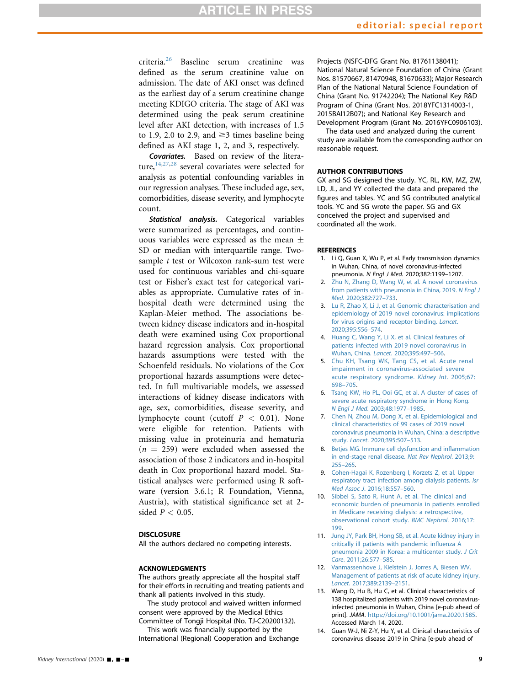criteria.<sup>[26](#page-9-11)</sup> Baseline serum creatinine was defined as the serum creatinine value on admission. The date of AKI onset was defined as the earliest day of a serum creatinine change meeting KDIGO criteria. The stage of AKI was determined using the peak serum creatinine level after AKI detection, with increases of 1.5 to 1.9, 2.0 to 2.9, and  $\geq$ 3 times baseline being defined as AKI stage 1, 2, and 3, respectively.

Covariates. Based on review of the literature, $14,27,28$  $14,27,28$  $14,27,28$  $14,27,28$  $14,27,28$  several covariates were selected for analysis as potential confounding variables in our regression analyses. These included age, sex, comorbidities, disease severity, and lymphocyte count.

Statistical analysis. Categorical variables were summarized as percentages, and continuous variables were expressed as the mean  $\pm$ SD or median with interquartile range. Twosample *t* test or Wilcoxon rank-sum test were used for continuous variables and chi-square test or Fisher's exact test for categorical variables as appropriate. Cumulative rates of inhospital death were determined using the Kaplan-Meier method. The associations between kidney disease indicators and in-hospital death were examined using Cox proportional hazard regression analysis. Cox proportional hazards assumptions were tested with the Schoenfeld residuals. No violations of the Cox proportional hazards assumptions were detected. In full multivariable models, we assessed interactions of kidney disease indicators with age, sex, comorbidities, disease severity, and lymphocyte count (cutoff  $P < 0.01$ ). None were eligible for retention. Patients with missing value in proteinuria and hematuria  $(n = 259)$  were excluded when assessed the association of those 2 indicators and in-hospital death in Cox proportional hazard model. Statistical analyses were performed using R software (version 3.6.1; R Foundation, Vienna, Austria), with statistical significance set at 2 sided  $P < 0.05$ .

### **DISCLOSURE**

All the authors declared no competing interests.

### ACKNOWLEDGMENTS

The authors greatly appreciate all the hospital staff for their efforts in recruiting and treating patients and thank all patients involved in this study.

The study protocol and waived written informed consent were approved by the Medical Ethics Committee of Tongji Hospital (No. TJ-C20200132).

This work was financially supported by the International (Regional) Cooperation and Exchange Projects (NSFC-DFG Grant No. 81761138041); National Natural Science Foundation of China (Grant Nos. 81570667, 81470948, 81670633); Major Research Plan of the National Natural Science Foundation of China (Grant No. 91742204); The National Key R&D Program of China (Grant Nos. 2018YFC1314003-1, 2015BAI12B07); and National Key Research and Development Program (Grant No. 2016YFC0906103).

The data used and analyzed during the current study are available from the corresponding author on reasonable request.

### AUTHOR CONTRIBUTIONS

GX and SG designed the study. YC, RL, KW, MZ, ZW, LD, JL, and YY collected the data and prepared the figures and tables. YC and SG contributed analytical tools. YC and SG wrote the paper. SG and GX conceived the project and supervised and coordinated all the work.

### <span id="page-8-0"></span>**REFERENCES**

- 1. Li Q, Guan X, Wu P, et al. Early transmission dynamics in Wuhan, China, of novel coronavirus-infected pneumonia. N Engl J Med. 2020;382:1199–1207.
- <span id="page-8-1"></span>2. [Zhu N, Zhang D, Wang W, et al. A novel coronavirus](http://refhub.elsevier.com/S0085-2538(20)30255-6/sref2) [from patients with pneumonia in China, 2019.](http://refhub.elsevier.com/S0085-2538(20)30255-6/sref2) N Engl J Med[. 2020;382:727](http://refhub.elsevier.com/S0085-2538(20)30255-6/sref2)–733.
- <span id="page-8-2"></span>3. [Lu R, Zhao X, Li J, et al. Genomic characterisation and](http://refhub.elsevier.com/S0085-2538(20)30255-6/sref3) [epidemiology of 2019 novel coronavirus: implications](http://refhub.elsevier.com/S0085-2538(20)30255-6/sref3) [for virus origins and receptor binding.](http://refhub.elsevier.com/S0085-2538(20)30255-6/sref3) Lancet. [2020;395:556](http://refhub.elsevier.com/S0085-2538(20)30255-6/sref3)–574.
- <span id="page-8-3"></span>4. [Huang C, Wang Y, Li X, et al. Clinical features of](http://refhub.elsevier.com/S0085-2538(20)30255-6/sref4) [patients infected with 2019 novel coronavirus in](http://refhub.elsevier.com/S0085-2538(20)30255-6/sref4) [Wuhan, China.](http://refhub.elsevier.com/S0085-2538(20)30255-6/sref4) Lancet. 2020;395:497–506.
- <span id="page-8-4"></span>5. [Chu KH, Tsang WK, Tang CS, et al. Acute renal](http://refhub.elsevier.com/S0085-2538(20)30255-6/sref5) [impairment in coronavirus-associated severe](http://refhub.elsevier.com/S0085-2538(20)30255-6/sref5) [acute respiratory syndrome.](http://refhub.elsevier.com/S0085-2538(20)30255-6/sref5) Kidney Int. 2005;67: 698–[705.](http://refhub.elsevier.com/S0085-2538(20)30255-6/sref5)
- <span id="page-8-5"></span>6. [Tsang KW, Ho PL, Ooi GC, et al. A cluster of cases of](http://refhub.elsevier.com/S0085-2538(20)30255-6/sref6) [severe acute respiratory syndrome in Hong Kong.](http://refhub.elsevier.com/S0085-2538(20)30255-6/sref6) N Engl J Med[. 2003;48:1977](http://refhub.elsevier.com/S0085-2538(20)30255-6/sref6)–1985.
- <span id="page-8-6"></span>7. [Chen N, Zhou M, Dong X, et al. Epidemiological and](http://refhub.elsevier.com/S0085-2538(20)30255-6/sref7) [clinical characteristics of 99 cases of 2019 novel](http://refhub.elsevier.com/S0085-2538(20)30255-6/sref7) [coronavirus pneumonia in Wuhan, China: a descriptive](http://refhub.elsevier.com/S0085-2538(20)30255-6/sref7) study. Lancet[. 2020;395:507](http://refhub.elsevier.com/S0085-2538(20)30255-6/sref7)–513.
- <span id="page-8-7"></span>8. [Betjes MG. Immune cell dysfunction and in](http://refhub.elsevier.com/S0085-2538(20)30255-6/sref8)flammation [in end-stage renal disease.](http://refhub.elsevier.com/S0085-2538(20)30255-6/sref8) Nat Rev Nephrol. 2013;9: [255](http://refhub.elsevier.com/S0085-2538(20)30255-6/sref8)–265.
- <span id="page-8-8"></span>9. [Cohen-Hagai K, Rozenberg I, Korzets Z, et al. Upper](http://refhub.elsevier.com/S0085-2538(20)30255-6/sref9) [respiratory tract infection among dialysis patients.](http://refhub.elsevier.com/S0085-2538(20)30255-6/sref9) Isr Med Assoc J[. 2016;18:557](http://refhub.elsevier.com/S0085-2538(20)30255-6/sref9)–560.
- <span id="page-8-9"></span>10. [Sibbel S, Sato R, Hunt A, et al. The clinical and](http://refhub.elsevier.com/S0085-2538(20)30255-6/sref10) [economic burden of pneumonia in patients enrolled](http://refhub.elsevier.com/S0085-2538(20)30255-6/sref10) [in Medicare receiving dialysis: a retrospective,](http://refhub.elsevier.com/S0085-2538(20)30255-6/sref10) [observational cohort study.](http://refhub.elsevier.com/S0085-2538(20)30255-6/sref10) BMC Nephrol. 2016;17: [199](http://refhub.elsevier.com/S0085-2538(20)30255-6/sref10).
- <span id="page-8-10"></span>11. [Jung JY, Park BH, Hong SB, et al. Acute kidney injury in](http://refhub.elsevier.com/S0085-2538(20)30255-6/sref11) [critically ill patients with pandemic in](http://refhub.elsevier.com/S0085-2538(20)30255-6/sref11)fluenza A [pneumonia 2009 in Korea: a multicenter study.](http://refhub.elsevier.com/S0085-2538(20)30255-6/sref11) J Crit Care[. 2011;26:577](http://refhub.elsevier.com/S0085-2538(20)30255-6/sref11)–585.
- <span id="page-8-11"></span>12. [Vanmassenhove J, Kielstein J, Jorres A, Biesen WV.](http://refhub.elsevier.com/S0085-2538(20)30255-6/sref12) [Management of patients at risk of acute kidney injury.](http://refhub.elsevier.com/S0085-2538(20)30255-6/sref12) Lancet[. 2017;389:2139](http://refhub.elsevier.com/S0085-2538(20)30255-6/sref12)–2151.
- <span id="page-8-12"></span>13. Wang D, Hu B, Hu C, et al. Clinical characteristics of 138 hospitalized patients with 2019 novel coronavirusinfected pneumonia in Wuhan, China [e-pub ahead of print]. JAMA. <https://doi.org/10.1001/jama.2020.1585>. Accessed March 14, 2020.
- <span id="page-8-13"></span>14. Guan W-J, Ni Z-Y, Hu Y, et al. Clinical characteristics of coronavirus disease 2019 in China [e-pub ahead of